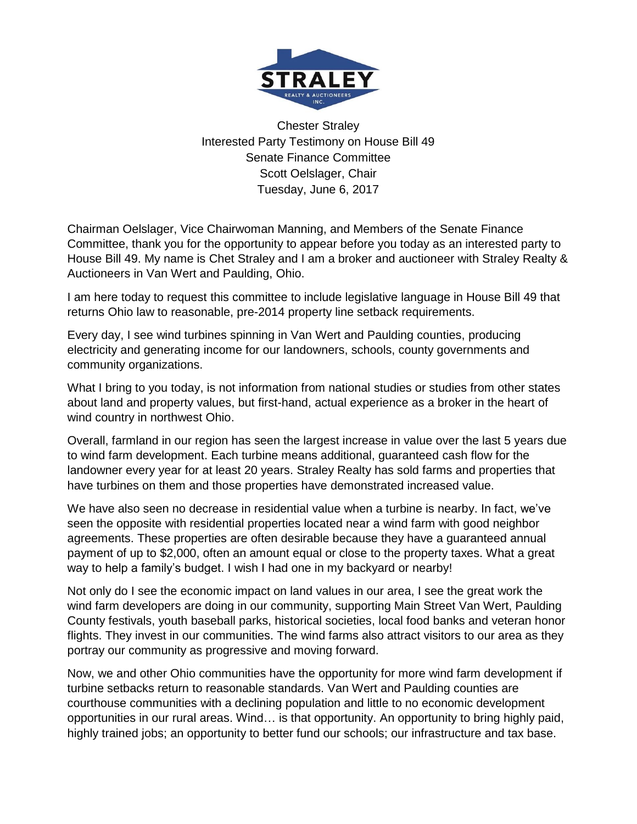

Chester Straley Interested Party Testimony on House Bill 49 Senate Finance Committee Scott Oelslager, Chair Tuesday, June 6, 2017

Chairman Oelslager, Vice Chairwoman Manning, and Members of the Senate Finance Committee, thank you for the opportunity to appear before you today as an interested party to House Bill 49. My name is Chet Straley and I am a broker and auctioneer with Straley Realty & Auctioneers in Van Wert and Paulding, Ohio.

I am here today to request this committee to include legislative language in House Bill 49 that returns Ohio law to reasonable, pre-2014 property line setback requirements.

Every day, I see wind turbines spinning in Van Wert and Paulding counties, producing electricity and generating income for our landowners, schools, county governments and community organizations.

What I bring to you today, is not information from national studies or studies from other states about land and property values, but first-hand, actual experience as a broker in the heart of wind country in northwest Ohio.

Overall, farmland in our region has seen the largest increase in value over the last 5 years due to wind farm development. Each turbine means additional, guaranteed cash flow for the landowner every year for at least 20 years. Straley Realty has sold farms and properties that have turbines on them and those properties have demonstrated increased value.

We have also seen no decrease in residential value when a turbine is nearby. In fact, we've seen the opposite with residential properties located near a wind farm with good neighbor agreements. These properties are often desirable because they have a guaranteed annual payment of up to \$2,000, often an amount equal or close to the property taxes. What a great way to help a family's budget. I wish I had one in my backyard or nearby!

Not only do I see the economic impact on land values in our area, I see the great work the wind farm developers are doing in our community, supporting Main Street Van Wert, Paulding County festivals, youth baseball parks, historical societies, local food banks and veteran honor flights. They invest in our communities. The wind farms also attract visitors to our area as they portray our community as progressive and moving forward.

Now, we and other Ohio communities have the opportunity for more wind farm development if turbine setbacks return to reasonable standards. Van Wert and Paulding counties are courthouse communities with a declining population and little to no economic development opportunities in our rural areas. Wind… is that opportunity. An opportunity to bring highly paid, highly trained jobs; an opportunity to better fund our schools; our infrastructure and tax base.